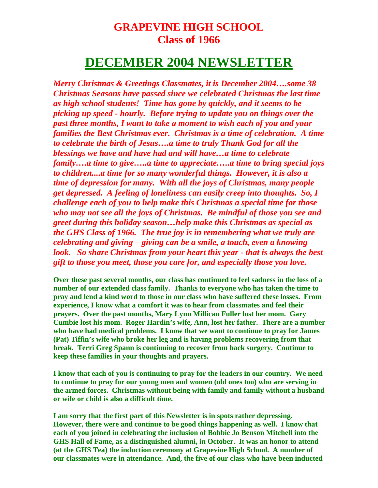## **GRAPEVINE HIGH SCHOOL Class of 1966**

## **DECEMBER 2004 NEWSLETTER**

*Merry Christmas & Greetings Classmates, it is December 2004….some 38 Christmas Seasons have passed since we celebrated Christmas the last time as high school students! Time has gone by quickly, and it seems to be picking up speed - hourly. Before trying to update you on things over the past three months, I want to take a moment to wish each of you and your families the Best Christmas ever. Christmas is a time of celebration. A time to celebrate the birth of Jesus….a time to truly Thank God for all the blessings we have and have had and will have…a time to celebrate family….a time to give…..a time to appreciate…..a time to bring special joys to children....a time for so many wonderful things. However, it is also a time of depression for many. With all the joys of Christmas, many people get depressed. A feeling of loneliness can easily creep into thoughts. So, I challenge each of you to help make this Christmas a special time for those who may not see all the joys of Christmas. Be mindful of those you see and greet during this holiday season…help make this Christmas as special as the GHS Class of 1966. The true joy is in remembering what we truly are celebrating and giving – giving can be a smile, a touch, even a knowing look. So share Christmas from your heart this year - that is always the best gift to those you meet, those you care for, and especially those you love.* 

**Over these past several months, our class has continued to feel sadness in the loss of a number of our extended class family. Thanks to everyone who has taken the time to pray and lend a kind word to those in our class who have suffered these losses. From experience, I know what a comfort it was to hear from classmates and feel their prayers. Over the past months, Mary Lynn Millican Fuller lost her mom. Gary Cumbie lost his mom. Roger Hardin's wife, Ann, lost her father. There are a number who have had medical problems. I know that we want to continue to pray for James (Pat) Tiffin's wife who broke her leg and is having problems recovering from that break. Terri Greg Spann is continuing to recover from back surgery. Continue to keep these families in your thoughts and prayers.** 

**I know that each of you is continuing to pray for the leaders in our country. We need to continue to pray for our young men and women (old ones too) who are serving in the armed forces. Christmas without being with family and family without a husband or wife or child is also a difficult time.** 

**I am sorry that the first part of this Newsletter is in spots rather depressing. However, there were and continue to be good things happening as well. I know that each of you joined in celebrating the inclusion of Bobbie Jo Benson Mitchell into the GHS Hall of Fame, as a distinguished alumni, in October. It was an honor to attend (at the GHS Tea) the induction ceremony at Grapevine High School. A number of our classmates were in attendance. And, the five of our class who have been inducted**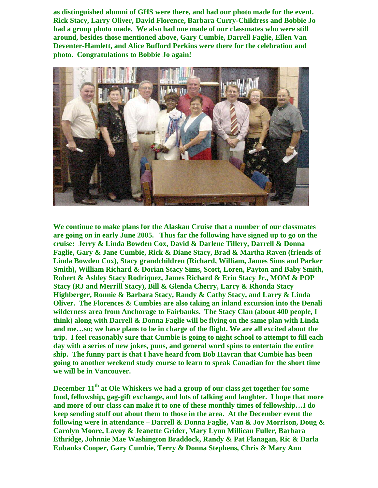**as distinguished alumni of GHS were there, and had our photo made for the event. Rick Stacy, Larry Oliver, David Florence, Barbara Curry-Childress and Bobbie Jo had a group photo made. We also had one made of our classmates who were still around, besides those mentioned above, Gary Cumbie, Darrell Faglie, Ellen Van Deventer-Hamlett, and Alice Bufford Perkins were there for the celebration and photo. Congratulations to Bobbie Jo again!** 



**We continue to make plans for the Alaskan Cruise that a number of our classmates are going on in early June 2005. Thus far the following have signed up to go on the cruise: Jerry & Linda Bowden Cox, David & Darlene Tillery, Darrell & Donna Faglie, Gary & Jane Cumbie, Rick & Diane Stacy, Brad & Martha Raven (friends of Linda Bowden Cox), Stacy grandchildren (Richard, William, James Sims and Parker Smith), William Richard & Dorian Stacy Sims, Scott, Loren, Payton and Baby Smith, Robert & Ashley Stacy Rodriquez, James Richard & Erin Stacy Jr., MOM & POP Stacy (RJ and Merrill Stacy), Bill & Glenda Cherry, Larry & Rhonda Stacy Highberger, Ronnie & Barbara Stacy, Randy & Cathy Stacy, and Larry & Linda Oliver. The Florences & Cumbies are also taking an inland excursion into the Denali wilderness area from Anchorage to Fairbanks. The Stacy Clan (about 400 people, I think) along with Darrell & Donna Faglie will be flying on the same plan with Linda and me…so; we have plans to be in charge of the flight. We are all excited about the trip. I feel reasonably sure that Cumbie is going to night school to attempt to fill each day with a series of new jokes, puns, and general word spins to entertain the entire ship. The funny part is that I have heard from Bob Havran that Cumbie has been going to another weekend study course to learn to speak Canadian for the short time we will be in Vancouver.** 

**December 11<sup>th</sup> at Ole Whiskers we had a group of our class get together for some food, fellowship, gag-gift exchange, and lots of talking and laughter. I hope that more and more of our class can make it to one of these monthly times of fellowship…I do keep sending stuff out about them to those in the area. At the December event the following were in attendance – Darrell & Donna Faglie, Van & Joy Morrison, Doug & Carolyn Moore, Lavoy & Jeanette Grider, Mary Lynn Millican Fuller, Barbara Ethridge, Johnnie Mae Washington Braddock, Randy & Pat Flanagan, Ric & Darla Eubanks Cooper, Gary Cumbie, Terry & Donna Stephens, Chris & Mary Ann**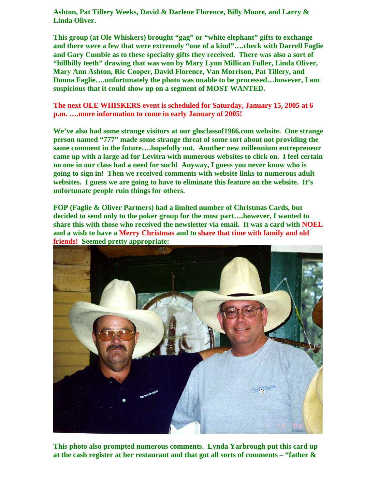**Ashton, Pat Tillery Weeks, David & Darlene Florence, Billy Moore, and Larry & Linda Oliver.** 

**This group (at Ole Whiskers) brought "gag" or "white elephant" gifts to exchange and there were a few that were extremely "one of a kind"….check with Darrell Faglie and Gary Cumbie as to these specialty gifts they received. There was also a sort of "hillbilly teeth" drawing that was won by Mary Lynn Millican Fuller, Linda Oliver, Mary Ann Ashton, Ric Cooper, David Florence, Van Morrison, Pat Tillery, and Donna Faglie….unfortunately the photo was unable to be processed…however, I am suspicious that it could show up on a segment of MOST WANTED.** 

## **The next OLE WHISKERS event is scheduled for Saturday, January 15, 2005 at 6 p.m. ….more information to come in early January of 2005!**

**We've also had some strange visitors at our ghsclassof1966.com website. One strange person named "777" made some strange threat of some sort about not providing the same comment in the future….hopefully not. Another new millennium entrepreneur came up with a large ad for Levitra with numerous websites to click on. I feel certain no one in our class had a need for such! Anyway, I guess you never know who is going to sign in! Then we received comments with website links to numerous adult websites. I guess we are going to have to eliminate this feature on the website. It's unfortunate people ruin things for others.** 

**FOP (Faglie & Oliver Partners) had a limited number of Christmas Cards, but decided to send only to the poker group for the most part….however, I wanted to share this with those who received the newsletter via email. It was a card with NOEL and a wish to have a Merry Christmas and to share that time with family and old friends! Seemed pretty appropriate:** 



**This photo also prompted numerous comments. Lynda Yarbrough put this card up at the cash register at her restaurant and that got all sorts of comments – "father &**